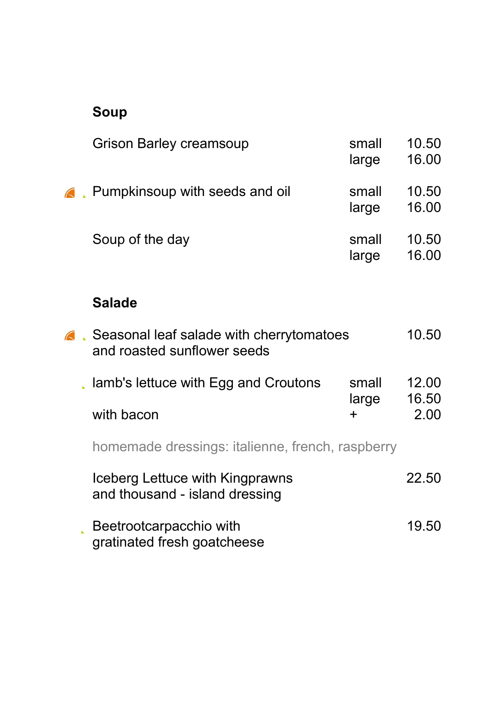## Soup

| <b>Grison Barley creamsoup</b>                                            | small<br>large | 10.50<br>16.00 |
|---------------------------------------------------------------------------|----------------|----------------|
| <b>A</b> Pumpkinsoup with seeds and oil                                   | small<br>large | 10.50<br>16.00 |
| Soup of the day                                                           | small<br>large | 10.50<br>16.00 |
| <b>Salade</b>                                                             |                |                |
| △ Seasonal leaf salade with cherrytomatoes<br>and roasted sunflower seeds |                | 10.50          |
| . lamb's lettuce with Egg and Croutons                                    | small<br>large | 12.00<br>16.50 |
| with bacon                                                                | $\ddot{}$      | 2.00           |
| homemade dressings: italienne, french, raspberry                          |                |                |
| Iceberg Lettuce with Kingprawns<br>and thousand - island dressing         |                | 22.50          |
| Beetrootcarpacchio with<br>gratinated fresh goatcheese                    |                | 19.50          |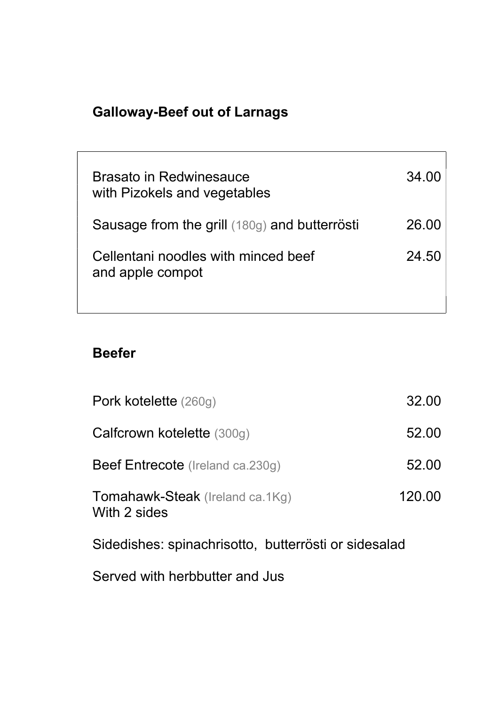# Galloway-Beef out of Larnags

| Brasato in Redwinesauce<br>with Pizokels and vegetables | 34.00 |
|---------------------------------------------------------|-------|
| Sausage from the grill (180g) and butterrösti           | 26.00 |
| Cellentani noodles with minced beef<br>and apple compot | 24.50 |

┑

#### Beefer

| Pork kotelette (260g)                                | 32.00  |  |
|------------------------------------------------------|--------|--|
| Calfcrown kotelette (300g)                           | 52.00  |  |
| <b>Beef Entrecote</b> (Ireland ca.230g)              | 52.00  |  |
| Tomahawk-Steak (Ireland ca.1Kg)<br>With 2 sides      | 120.00 |  |
| Sidedishes: spinachrisotto, butterrösti or sidesalad |        |  |

Served with herbbutter and Jus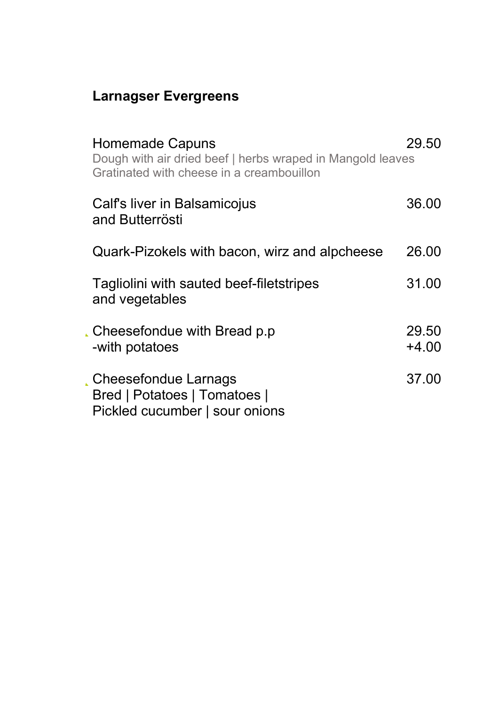## Larnagser Evergreens

| <b>Homemade Capuns</b><br>Dough with air dried beef   herbs wraped in Mangold leaves<br>Gratinated with cheese in a creambouillon | 29.50            |
|-----------------------------------------------------------------------------------------------------------------------------------|------------------|
| Calf's liver in Balsamicojus<br>and Butterrösti                                                                                   | 36.00            |
| Quark-Pizokels with bacon, wirz and alpcheese                                                                                     | 26.00            |
| Tagliolini with sauted beef-filetstripes<br>and vegetables                                                                        | 31.00            |
| Cheesefondue with Bread p.p.<br>-with potatoes                                                                                    | 29.50<br>$+4.00$ |
| Cheesefondue Larnags<br>Bred   Potatoes   Tomatoes  <br>Pickled cucumber   sour onions                                            | 37.00            |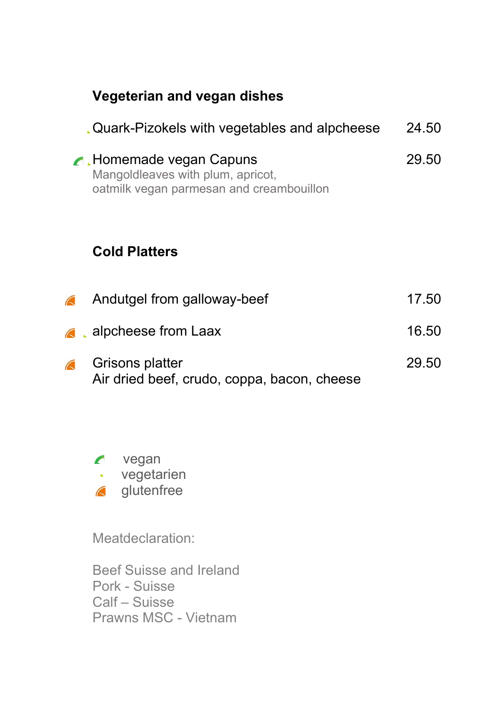| <b>Vegeterian and vegan dishes</b>                                                                       |       |
|----------------------------------------------------------------------------------------------------------|-------|
| Quark-Pizokels with vegetables and alpcheese                                                             | 24.50 |
| A Homemade vegan Capuns<br>Mangoldleaves with plum, apricot,<br>oatmilk vegan parmesan and creambouillon | 29.50 |
| <b>Cold Platters</b>                                                                                     |       |
| Andutgel from galloway-beef<br>$\sqrt{2}$                                                                | 17.50 |
| alpcheese from Laax<br>$\sqrt{2}$                                                                        | 16.50 |
| Grisons platter<br>Air dried beef, crudo, coppa, bacon, cheese                                           | 29.50 |



Meatdeclaration:

Beef Suisse and Ireland Pork - Suisse Calf – Suisse Prawns MSC - Vietnam